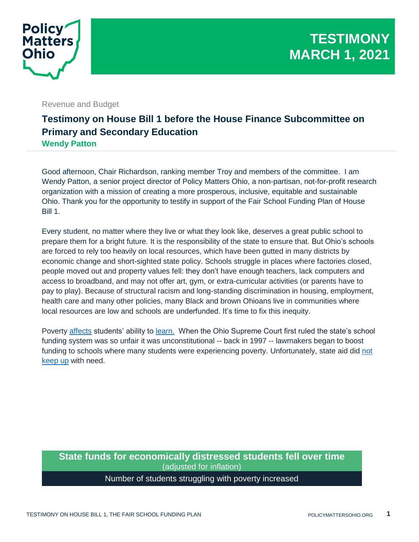

Revenue and Budget

## **Testimony on House Bill 1 before the House Finance Subcommittee on Primary and Secondary Education Wendy Patton**

Good afternoon, Chair Richardson, ranking member Troy and members of the committee. I am Wendy Patton, a senior project director of Policy Matters Ohio, a non-partisan, not-for-profit research organization with a mission of creating a more prosperous, inclusive, equitable and sustainable Ohio. Thank you for the opportunity to testify in support of the Fair School Funding Plan of House Bill 1.

Every student, no matter where they live or what they look like, deserves a great public school to prepare them for a bright future. It is the responsibility of the state to ensure that. But Ohio's schools are forced to rely too heavily on local resources, which have been gutted in many districts by economic change and short-sighted state policy. Schools struggle in places where factories closed, people moved out and property values fell: they don't have enough teachers, lack computers and access to broadband, and may not offer art, gym, or extra-curricular activities (or parents have to pay to play). Because of structural racism and long-standing discrimination in housing, employment, health care and many other policies, many Black and brown Ohioans live in communities where local resources are low and schools are underfunded. It's time to fix this inequity.

Poverty [affects](http://www.oepiohio.org/wp-content/uploads/2020/09/Analysis-of-FY17-Ohio-School-District-Report-Card-Date-Related-Issues-9-28.pdf) students' ability to [learn.](https://www.nassp.org/poverty-and-its-impact-on-students-education/#:~:text=These%20factors%20often%20place%20more,success%20during%20the%20school%20day.) When the Ohio Supreme Court first ruled the state's school funding system was so unfair it was unconstitutional -- back in 1997 -- lawmakers began to boost funding to schools where many students were experiencing poverty. Unfortunately, state aid did [not](http://www.oepiohio.org/wp-content/uploads/2018/08/Post-Derolph-Press-Conference-Package_8-15-18.pdf)  [keep up](http://www.oepiohio.org/wp-content/uploads/2018/08/Post-Derolph-Press-Conference-Package_8-15-18.pdf) with need.

## **State funds for economically distressed students fell over time** (adjusted for inflation)

## Number of students struggling with poverty increased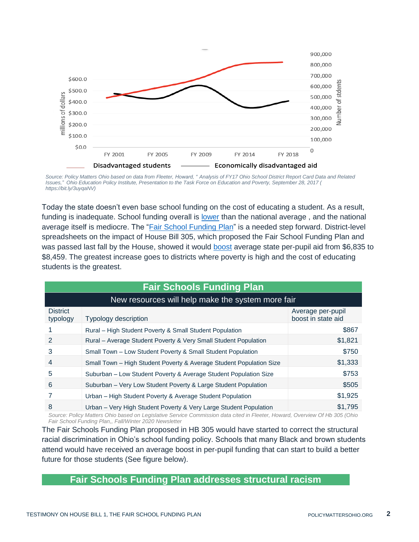

*Source: Policy Matters Ohio based on data from Fleeter, Howard, " Analysis of FY17 Ohio School District Report Card Data and Related Issues," Ohio Education Policy Institute, Presentation to the Task Force on Education and Poverty, September 28, 2017 ( https://bit.ly/3uyqaNV)*

Today the state doesn't even base school funding on the cost of educating a student. As a result, funding is inadequate. School funding overall is [lower](https://www.edweek.org/state-and-national-highlights-reports-quality-counts-2020/2020/01) than the national average , and the national average itself is mediocre. The ["Fair School Funding Plan"](https://sites.google.com/view/ohiofairschoolfunding) is a needed step forward. District-level spreadsheets on the impact of House Bill 305, which proposed the Fair School Funding Plan and was passed last fall by the House, showed it would [boost](https://www.legislature.ohio.gov/download?key=15669&format=pdf) average state per-pupil aid from \$6,835 to \$8,459. The greatest increase goes to districts where poverty is high and the cost of educating students is the greatest.

| <b>Fair Schools Funding Plan</b>                  |                                                                     |                                         |
|---------------------------------------------------|---------------------------------------------------------------------|-----------------------------------------|
| New resources will help make the system more fair |                                                                     |                                         |
| <b>District</b><br>typology                       | <b>Typology description</b>                                         | Average per-pupil<br>boost in state aid |
|                                                   | Rural - High Student Poverty & Small Student Population             | \$867                                   |
| 2                                                 | Rural – Average Student Poverty & Very Small Student Population     | \$1,821                                 |
| 3                                                 | Small Town - Low Student Poverty & Small Student Population         | \$750                                   |
| 4                                                 | Small Town - High Student Poverty & Average Student Population Size | \$1,333                                 |
| 5                                                 | Suburban - Low Student Poverty & Average Student Population Size    | \$753                                   |
| 6                                                 | Suburban - Very Low Student Poverty & Large Student Population      | \$505                                   |
|                                                   | Urban - High Student Poverty & Average Student Population           | \$1,925                                 |
| 8                                                 | Urban - Very High Student Poverty & Very Large Student Population   | \$1,795                                 |

*Source: Policy Matters Ohio based on Legislative Service Commission data cited in Fleeter, Howard, Overview Of Hb 305 (Ohio Fair School Funding Plan,, Fall/Winter 2020 Newsletter*

The Fair Schools Funding Plan proposed in HB 305 would have started to correct the structural racial discrimination in Ohio's school funding policy. Schools that many Black and brown students attend would have received an average boost in per-pupil funding that can start to build a better future for those students (See figure below).

## **Fair Schools Funding Plan addresses structural racism**